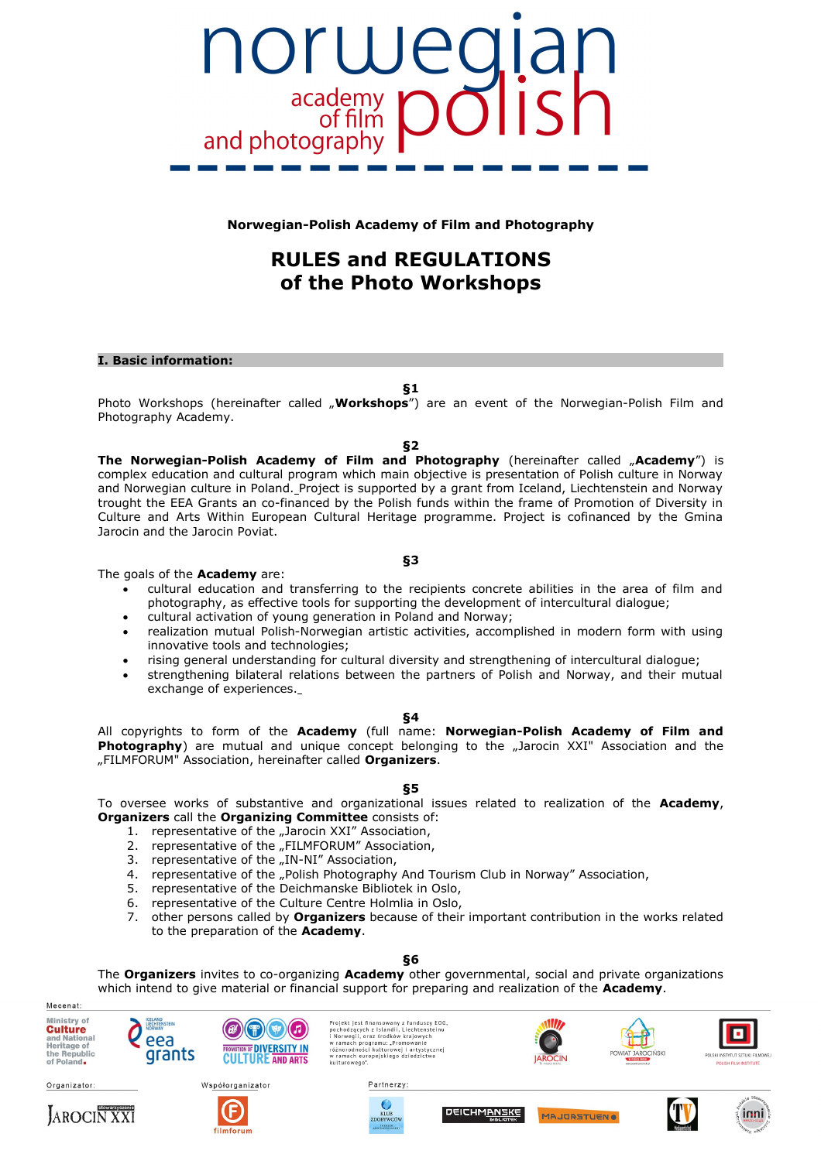

**Norwegian-Polish Academy of Film and Photography**

# **RULES and REGULATIONS of the Photo Workshops**

## **I. Basic information:**

**§1**

Photo Workshops (hereinafter called "Workshops") are an event of the Norwegian-Polish Film and Photography Academy.

**§2**

**The Norwegian-Polish Academy of Film and Photography** (hereinafter called "Academy") is complex education and cultural program which main objective is presentation of Polish culture in Norway and Norwegian culture in Poland. Project is supported by a grant from Iceland, Liechtenstein and Norway trought the EEA Grants an co-financed by the Polish funds within the frame of Promotion of Diversity in Culture and Arts Within European Cultural Heritage programme. Project is cofinanced by the Gmina Jarocin and the Jarocin Poviat.

**§3**

The goals of the **Academy** are:

- cultural education and transferring to the recipients concrete abilities in the area of film and photography, as effective tools for supporting the development of intercultural dialogue;
- cultural activation of young generation in Poland and Norway;
- realization mutual Polish-Norwegian artistic activities, accomplished in modern form with using innovative tools and technologies;
- rising general understanding for cultural diversity and strengthening of intercultural dialogue;
- strengthening bilateral relations between the partners of Polish and Norway, and their mutual exchange of experiences.

## **§4**

All copyrights to form of the **Academy** (full name: **Norwegian-Polish Academy of Film and Photography**) are mutual and unique concept belonging to the "Jarocin XXI" Association and the "FILMFORUM" Association, hereinafter called **Organizers**.

# **§5**

To oversee works of substantive and organizational issues related to realization of the **Academy**, **Organizers** call the **Organizing Committee** consists of:

- 1. representative of the "Jarocin XXI" Association,
- 2. representative of the "FILMFORUM" Association,
- 3. representative of the "IN-NI" Association,
- 4. representative of the "Polish Photography And Tourism Club in Norway" Association,
- 5. representative of the Deichmanske Bibliotek in Oslo,
- 6. representative of the Culture Centre Holmlia in Oslo,
- 7. other persons called by **Organizers** because of their important contribution in the works related to the preparation of the **Academy**.

# **§6**

The **Organizers** invites to co-organizing **Academy** other governmental, social and private organizations which intend to give material or financial support for preparing and realization of the **Academy**.

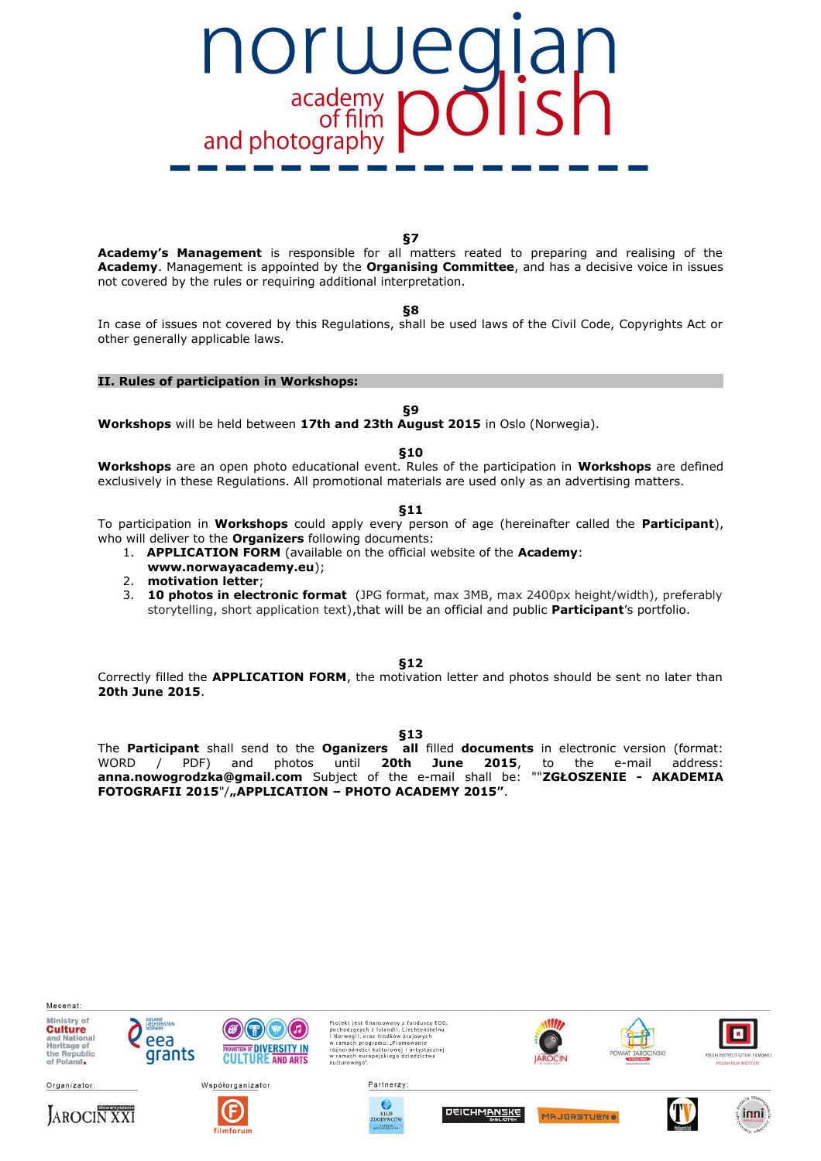

**§7**

**Academy's Management** is responsible for all matters reated to preparing and realising of the **Academy**. Management is appointed by the **Organising Committee**, and has a decisive voice in issues not covered by the rules or requiring additional interpretation.

**§8**

In case of issues not covered by this Regulations, shall be used laws of the Civil Code, Copyrights Act or other generally applicable laws.

## **II. Rules of participation in Workshops:**

**§9**

**Workshops** will be held between **17th and 23th August 2015** in Oslo (Norwegia).

**§10**

**Workshops** are an open photo educational event. Rules of the participation in **Workshops** are defined exclusively in these Regulations. All promotional materials are used only as an advertising matters.

**§11**

To participation in **Workshops** could apply every person of age (hereinafter called the **Participant**), who will deliver to the **Organizers** following documents:

- 1. **APPLICATION FORM** (available on the official website of the **Academy**:
- **www.norwayacademy.eu**);
- 2. **motivation letter**;
- 3. **10 photos in electronic format** (JPG format, max 3MB, max 2400px height/width), preferably storytelling, short application text),that will be an official and public **Participant**'s portfolio.

**§12**

Correctly filled the **APPLICATION FORM**, the motivation letter and photos should be sent no later than **20th June 2015**.

**§13**

The **Participant** shall send to the **Oganizers all** filled **documents** in electronic version (format: WORD / PDF) and photos until **20th June 2015**, to the e-mail address: **anna.nowogrodzka@gmail.com** Subject of the e-mail shall be: ""**ZGŁOSZENIE - AKADEMIA** FOTOGRAFII 2015"/,,APPLICATION - PHOTO ACADEMY 2015".

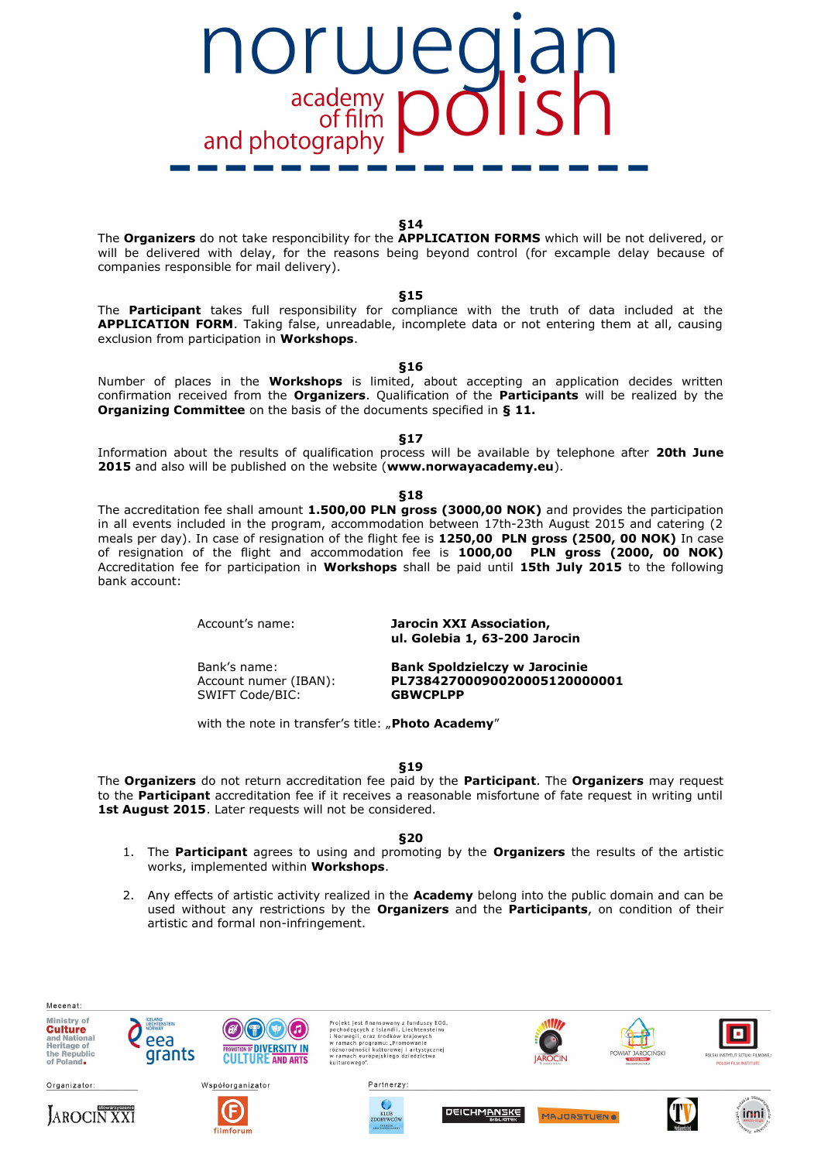

**§14**

The **Organizers** do not take responcibility for the **APPLICATION FORMS** which will be not delivered, or will be delivered with delay, for the reasons being beyond control (for excample delay because of companies responsible for mail delivery).

## **§15**

The **Participant** takes full responsibility for compliance with the truth of data included at the **APPLICATION FORM**. Taking false, unreadable, incomplete data or not entering them at all, causing exclusion from participation in **Workshops**.

#### **§16**

Number of places in the **Workshops** is limited, about accepting an application decides written confirmation received from the **Organizers**. Qualification of the **Participants** will be realized by the **Organizing Committee** on the basis of the documents specified in **§ 11.**

**§17**

Information about the results of qualification process will be available by telephone after **20th June 2015** and also will be published on the website (**www.norwayacademy.eu**).

#### **§18**

The accreditation fee shall amount **1.500,00 PLN gross (3000,00 NOK)** and provides the participation in all events included in the program, accommodation between 17th-23th August 2015 and catering (2 meals per day). In case of resignation of the flight fee is **1250,00 PLN gross (2500, 00 NOK)** In case of resignation of the flight and accommodation fee is **1000,00 PLN gross (2000, 00 NOK)** Accreditation fee for participation in **Workshops** shall be paid until **15th July 2015** to the following bank account:

Account's name: **Jarocin XXI Association, ul. Golebia 1, 63-200 Jarocin**

SWIFT Code/BIC: **GBWCPLPP**

Bank's name: **Bank Spoldzielczy w Jarocinie** Account numer (IBAN): **PL73842700090020005120000001**

with the note in transfer's title: "Photo Academy"

**§19**

The **Organizers** do not return accreditation fee paid by the **Participant**. The **Organizers** may request to the **Participant** accreditation fee if it receives a reasonable misfortune of fate request in writing until 1st August 2015. Later requests will not be considered.

**§20**

- 1. The **Participant** agrees to using and promoting by the **Organizers** the results of the artistic works, implemented within **Workshops**.
- 2. Any effects of artistic activity realized in the **Academy** belong into the public domain and can be used without any restrictions by the **Organizers** and the **Participants**, on condition of their artistic and formal non-infringement.